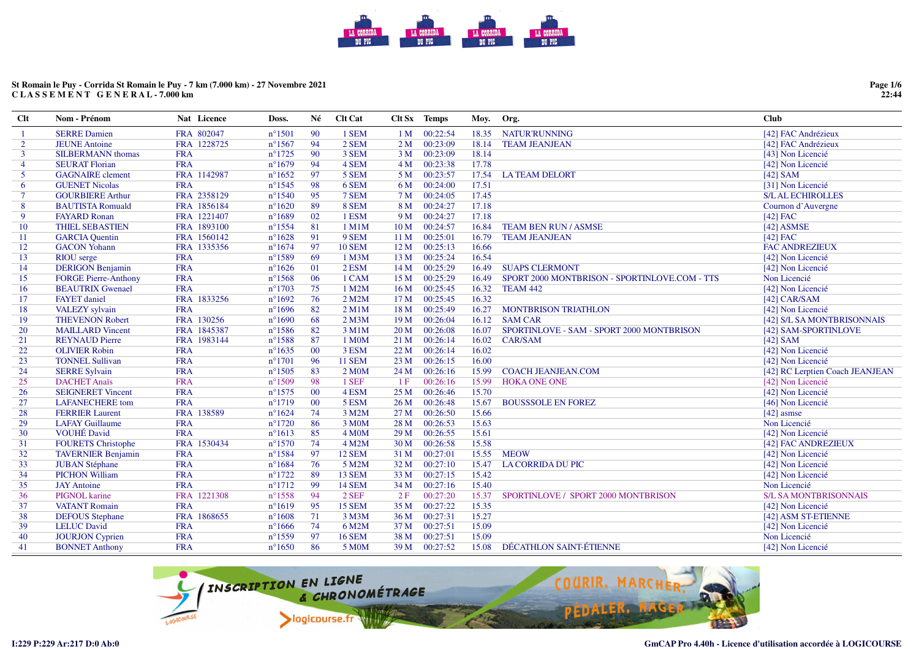# **St Romain le Puy - Corrida St Romain le Puy - 7 km (7.000 km) - 27 Novembre 2021C L A S S E M E N T G E N E R A L - 7.000 km**

**Page 1/6 22:44**

| $Cl$ t         | Nom - Prénom                | Nat Licence | Doss.            | Né             | <b>Clt Cat</b>     |                 | Clt Sx Temps  | Moy.  | Org.                                          | <b>Club</b>                     |
|----------------|-----------------------------|-------------|------------------|----------------|--------------------|-----------------|---------------|-------|-----------------------------------------------|---------------------------------|
| -1             | <b>SERRE Damien</b>         | FRA 802047  | $n^{\circ}1501$  | 90             | 1 SEM              | 1 <sub>M</sub>  | 00:22:54      | 18.35 | <b>NATUR'RUNNING</b>                          | [42] FAC Andrézieux             |
| $\overline{2}$ | <b>JEUNE Antoine</b>        | FRA 1228725 | $n^{\circ}1567$  | 94             | 2 SEM              | 2 <sub>M</sub>  | 00:23:09      | 18.14 | <b>TEAM JEANJEAN</b>                          | [42] FAC Andrézieux             |
| $\overline{3}$ | <b>SILBERMANN</b> thomas    | <b>FRA</b>  | $n^{\circ}1725$  | 90             | 3 SEM              | 3 <sub>M</sub>  | 00:23:09      | 18.14 |                                               | [43] Non Licencié               |
| $\overline{4}$ | <b>SEURAT Florian</b>       | <b>FRA</b>  | $n^{\circ}1679$  | 94             | 4 SEM              | 4M              | 00:23:38      | 17.78 |                                               | [42] Non Licencié               |
| $\mathfrak{S}$ | <b>GAGNAIRE</b> clement     | FRA 1142987 | $n^{\circ}1652$  | 97             | 5 SEM              | 5 M             | 00:23:57      | 17.54 | <b>LATEAM DELORT</b>                          | [42] $SAM$                      |
| 6              | <b>GUENET Nicolas</b>       | <b>FRA</b>  | $n^{\circ}1545$  | 98             | 6 SEM              | 6 M             | 00:24:00      | 17.51 |                                               | [31] Non Licencié               |
| $\tau$         | <b>GOURBIERE Arthur</b>     | FRA 2358129 | $n^{\circ}1540$  | 95             | 7 SEM              | 7 M             | 00:24:05      | 17.45 |                                               | <b>S/L AL ECHIROLLES</b>        |
| 8              | <b>BAUTISTA Romuald</b>     | FRA 1856184 | $n^{\circ}1620$  | 89             | 8 SEM              | 8 M             | 00:24:27      | 17.18 |                                               | Cournon d'Auvergne              |
| 9              | <b>FAYARD Ronan</b>         | FRA 1221407 | $n^{\circ}1689$  | 02             | 1 ESM              | 9 M             | 00:24:27      | 17.18 |                                               | $[42]$ FAC                      |
| 10             | <b>THIEL SEBASTIEN</b>      | FRA 1893100 | $n^{\circ}1554$  | 81             | 1 M1M              | 10 <sub>M</sub> | 00:24:57      | 16.84 | <b>TEAM BEN RUN / ASMSE</b>                   | $[42]$ ASMSE                    |
| 11             | <b>GARCIA</b> Quentin       | FRA 1560142 | $n^{\circ}1628$  | 91             | 9 SEM              | 11 <sub>M</sub> | 00:25:01      | 16.79 | <b>TEAM JEANJEAN</b>                          | $[42]$ FAC                      |
| 12             | <b>GACON Yohann</b>         | FRA 1335356 | $n^{\circ}1674$  | 97             | <b>10 SEM</b>      | 12M             | 00:25:13      | 16.66 |                                               | <b>FAC ANDREZIEUX</b>           |
| 13             | RIOU serge                  | <b>FRA</b>  | $n^{\circ}1589$  | 69             | 1 M3M              | 13M             | 00:25:24      | 16.54 |                                               | [42] Non Licencié               |
| 14             | <b>DERIGON Benjamin</b>     | <b>FRA</b>  | $n^{\circ}1626$  | 01             | 2 ESM              | 14M             | 00:25:29      | 16.49 | <b>SUAPS CLERMONT</b>                         | [42] Non Licencié               |
| 15             | <b>FORGE Pierre-Anthony</b> | <b>FRA</b>  | $n^{\circ}1568$  | 06             | 1 CAM              | 15 M            | 00:25:29      | 16.49 | SPORT 2000 MONTBRISON - SPORTINLOVE.COM - TTS | Non Licencié                    |
| 16             | <b>BEAUTRIX Gwenael</b>     | <b>FRA</b>  | $n^{\circ}1703$  | 75             | 1 M2M              | 16 <sub>M</sub> | 00:25:45      | 16.32 | TEAM 442                                      | [42] Non Licencié               |
| 17             | <b>FAYET</b> daniel         | FRA 1833256 | $n^{\circ}1692$  | 76             | 2 M2M              | 17 <sub>M</sub> | 00:25:45      | 16.32 |                                               | $[42]$ CAR/SAM                  |
| 18             | VALEZY sylvain              | <b>FRA</b>  | $n^{\circ}1696$  | 82             | $2$ M $1$ M        | 18 <sub>M</sub> | 00:25:49      | 16.27 | <b>MONTBRISON TRIATHLON</b>                   | [42] Non Licencié               |
| 19             | <b>THEVENON Robert</b>      | FRA 130256  | $n^{\circ}1690$  | 68             | $2$ M $3M$         | 19 <sub>M</sub> | 00:26:04      | 16.12 | <b>SAM CAR</b>                                | [42] S/L SA MONTBRISONNAIS      |
| 20             | <b>MAILLARD Vincent</b>     | FRA 1845387 | $n^{\circ}1586$  | 82             | 3 M1M              | 20 <sub>M</sub> | 00:26:08      | 16.07 | SPORTINLOVE - SAM - SPORT 2000 MONTBRISON     | [42] SAM-SPORTINLOVE            |
| 21             | <b>REYNAUD Pierre</b>       | FRA 1983144 | $n^{\circ}$ 1588 | 87             | 1 M <sub>0</sub> M | 21 M            | 00:26:14      | 16.02 | <b>CAR/SAM</b>                                | [42] $SAM$                      |
| 22             | <b>OLIVIER Robin</b>        | <b>FRA</b>  | $n^{\circ}1635$  | 00             | 3 ESM              | 22 M            | 00:26:14      | 16.02 |                                               | [42] Non Licencié               |
| 23             | <b>TONNEL Sullivan</b>      | <b>FRA</b>  | $n^{\circ}1701$  | 96             | <b>11 SEM</b>      | 23M             | 00:26:15      | 16.00 |                                               | [42] Non Licencié               |
| 24             | <b>SERRE Sylvain</b>        | <b>FRA</b>  | $n^{\circ}1505$  | 83             | 2 M <sub>0</sub> M | 24 M            | 00:26:16      | 15.99 | <b>COACH JEANJEAN.COM</b>                     | [42] RC Lerptien Coach JEANJEAN |
| 25             | <b>DACHET Anaïs</b>         | <b>FRA</b>  | $n^{\circ}1509$  | 98             | 1 SEF              | 1F              | 00:26:16      | 15.99 | <b>HOKA ONE ONE</b>                           | [42] Non Licencié               |
| 26             | <b>SEIGNERET Vincent</b>    | <b>FRA</b>  | $n^{\circ}1575$  | 0 <sup>0</sup> | 4 ESM              | 25 <sub>M</sub> | 00:26:46      | 15.70 |                                               | [42] Non Licencié               |
| 27             | <b>LAFANECHERE</b> tom      | <b>FRA</b>  | $n^{\circ}1719$  | 00             | 5 ESM              | 26 M            | 00:26:48      | 15.67 | <b>BOUSSSOLE EN FOREZ</b>                     | [46] Non Licencié               |
| 28             | <b>FERRIER Laurent</b>      | FRA 138589  | $n^{\circ}1624$  | 74             | 3 M2M              | 27 M            | 00:26:50      | 15.66 |                                               | $[42]$ asmse                    |
| 29             | <b>LAFAY Guillaume</b>      | <b>FRA</b>  | $n^{\circ}1720$  | 86             | 3 M0M              | 28 M            | 00:26:53      | 15.63 |                                               | Non Licencié                    |
| 30             | <b>VOUHÉ David</b>          | <b>FRA</b>  | $n^{\circ}1613$  | 85             | 4 M <sub>O</sub> M | 29 M            | 00:26:55      | 15.61 |                                               | [42] Non Licencié               |
| 31             | <b>FOURETS</b> Christophe   | FRA 1530434 | $n^{\circ}1570$  | 74             | 4 M2M              | 30 M            | 00:26:58      | 15.58 |                                               | [42] FAC ANDREZIEUX             |
| 32             | <b>TAVERNIER Benjamin</b>   | <b>FRA</b>  | $n^{\circ}1584$  | 97             | 12 SEM             | 31 M            | 00:27:01      | 15.55 | <b>MEOW</b>                                   | [42] Non Licencié               |
| 33             | <b>JUBAN Stéphane</b>       | <b>FRA</b>  | $n^{\circ}1684$  | 76             | 5 M2M              | 32 M            | 00:27:10      | 15.47 | <b>LA CORRIDA DU PIC</b>                      | [42] Non Licencié               |
| 34             | <b>PICHON William</b>       | <b>FRA</b>  | $n^{\circ}1722$  | 89             | 13 SEM             | 33 M            | 00:27:15      | 15.42 |                                               | [42] Non Licencié               |
| 35             | <b>JAY</b> Antoine          | <b>FRA</b>  | $n^{\circ}1712$  | 99             | <b>14 SEM</b>      | 34 M            | 00:27:16      | 15.40 |                                               | Non Licencié                    |
| 36             | <b>PIGNOL</b> karine        | FRA 1221308 | $n^{\circ}1558$  | 94             | 2 SEF              | 2F              | 00:27:20      | 15.37 | SPORTINLOVE / SPORT 2000 MONTBRISON           | <b>S/L SA MONTBRISONNAIS</b>    |
| 37             | <b>VATANT Romain</b>        | <b>FRA</b>  | $n^{\circ}1619$  | 95             | 15 SEM             | 35 <sub>M</sub> | 00:27:22      | 15.35 |                                               | [42] Non Licencié               |
| 38             | <b>DEFOUS</b> Stephane      | FRA 1868655 | $n^{\circ}1608$  | 71             | 3 M3M              | 36 M            | 00:27:31      | 15.27 |                                               | [42] ASM ST-ETIENNE             |
| 39             | <b>LELUC David</b>          | <b>FRA</b>  | $n^{\circ}1666$  | 74             | 6 M2M              | 37 M            | 00:27:51      | 15.09 |                                               | [42] Non Licencié               |
| 40             | <b>JOURJON Cyprien</b>      | <b>FRA</b>  | $n^{\circ}1559$  | 97             | <b>16 SEM</b>      | 38 M            | 00:27:51      | 15.09 |                                               | Non Licencié                    |
| 41             | <b>BONNET Anthony</b>       | <b>FRA</b>  | $n^{\circ}1650$  | 86             | 5 M0M              |                 | 39 M 00:27:52 | 15.08 | DÉCATHLON SAINT-ÉTIENNE                       | [42] Non Licencié               |

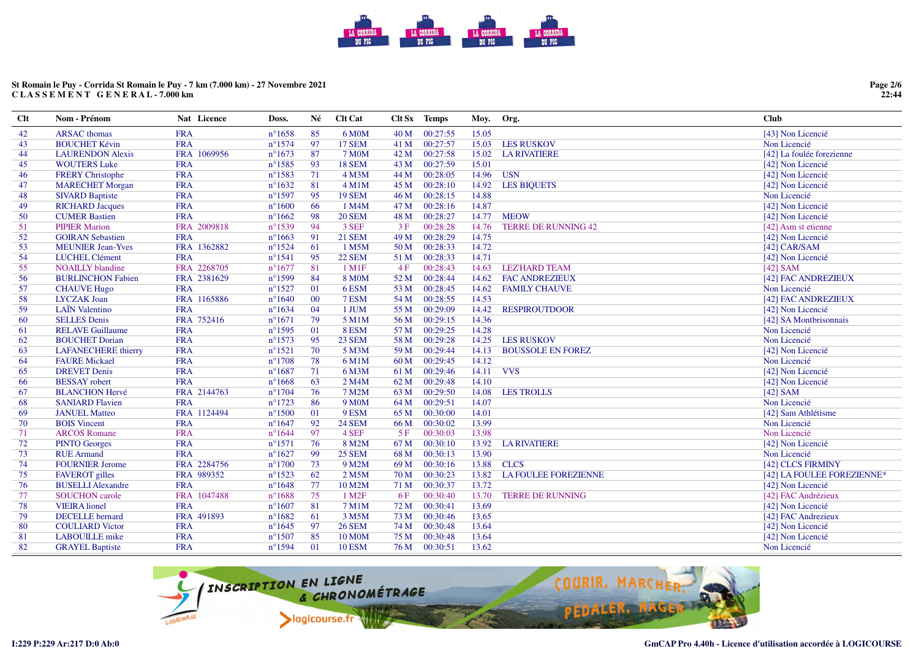# **St Romain le Puy - Corrida St Romain le Puy - 7 km (7.000 km) - 27 Novembre 2021C L A S S E M E N T G E N E R A L - 7.000 km**

| Clt | Nom - Prénom               | <b>Nat</b> Licence | Doss.            | Né | <b>Clt Cat</b>      |      | Clt Sx Temps | Moy.  | Org.                        | Club                       |
|-----|----------------------------|--------------------|------------------|----|---------------------|------|--------------|-------|-----------------------------|----------------------------|
| 42  | <b>ARSAC</b> thomas        | <b>FRA</b>         | $n^{\circ}1658$  | 85 | 6 M0M               | 40 M | 00:27:55     | 15.05 |                             | [43] Non Licencié          |
| 43  | <b>BOUCHET Kévin</b>       | <b>FRA</b>         | $n^{\circ}1574$  | 97 | <b>17 SEM</b>       | 41 M | 00:27:57     | 15.03 | <b>LES RUSKOV</b>           | Non Licencié               |
| 44  | <b>LAURENDON Alexis</b>    | FRA 1069956        | $n^{\circ}1673$  | 87 | <b>7 M0M</b>        | 42 M | 00:27:58     | 15.02 | <b>LA RIVATIERE</b>         | [42] La foulée forezienne  |
| 45  | <b>WOUTERS Luke</b>        | <b>FRA</b>         | $n^{\circ}$ 1585 | 93 | <b>18 SEM</b>       | 43 M | 00:27:59     | 15.01 |                             | [42] Non Licencié          |
| 46  | <b>FRERY Christophe</b>    | <b>FRA</b>         | $n^{\circ}1583$  | 71 | 4 M <sub>3</sub> M  | 44 M | 00:28:05     | 14.96 | <b>USN</b>                  | [42] Non Licencié          |
| 47  | <b>MARECHET Morgan</b>     | <b>FRA</b>         | $n^{\circ}1632$  | 81 | 4 M1M               | 45 M | 00:28:10     | 14.92 | <b>LES BIQUETS</b>          | [42] Non Licencié          |
| 48  | <b>SIVARD Baptiste</b>     | <b>FRA</b>         | $n^{\circ}$ 1597 | 95 | <b>19 SEM</b>       | 46 M | 00:28:15     | 14.88 |                             | Non Licencié               |
| 49  | <b>RICHARD Jacques</b>     | <b>FRA</b>         | $n^{\circ}1600$  | 66 | 1 M4M               | 47 M | 00:28:16     | 14.87 |                             | [42] Non Licencié          |
| 50  | <b>CUMER Bastien</b>       | <b>FRA</b>         | $n^{\circ}1662$  | 98 | <b>20 SEM</b>       | 48 M | 00:28:27     | 14.77 | <b>MEOW</b>                 | [42] Non Licencié          |
| 51  | <b>PIPIER Marion</b>       | FRA 2009818        | $n^{\circ}1539$  | 94 | 3 SEF               | 3F   | 00:28:28     | 14.76 | <b>TERRE DE RUNNING 42</b>  | [42] Asm st etienne        |
| 52  | <b>GOIRAN Sebastien</b>    | <b>FRA</b>         | $n^{\circ}1663$  | 91 | <b>21 SEM</b>       | 49 M | 00:28:29     | 14.75 |                             | [42] Non Licencié          |
| 53  | <b>MEUNIER Jean-Yves</b>   | FRA 1362882        | $n^{\circ}1524$  | 61 | 1 M5M               | 50 M | 00:28:33     | 14.72 |                             | $[42]$ CAR/SAM             |
| 54  | LUCHEL Clément             | <b>FRA</b>         | $n^{\circ}1541$  | 95 | <b>22 SEM</b>       | 51 M | 00:28:33     | 14.71 |                             | [42] Non Licencié          |
| 55  | <b>NOAILLY</b> blandine    | FRA 2268705        | $n^{\circ}1677$  | 81 | $1$ M1F             | 4F   | 00:28:43     | 14.63 | <b>LEZ'HARD TEAM</b>        | $[42]$ SAM                 |
| 56  | <b>BURLINCHON Fabien</b>   | FRA 2381629        | $n^{\circ}$ 1599 | 84 | <b>8 MOM</b>        | 52 M | 00:28:44     | 14.62 | <b>FAC ANDREZIEUX</b>       | [42] FAC ANDREZIEUX        |
| 57  | <b>CHAUVE Hugo</b>         | <b>FRA</b>         | $n^{\circ}1527$  | 01 | 6 ESM               | 53 M | 00:28:45     | 14.62 | <b>FAMILY CHAUVE</b>        | Non Licencié               |
| 58  | <b>LYCZAK Joan</b>         | FRA 1165886        | $n^{\circ}1640$  | 00 | 7 ESM               | 54 M | 00:28:55     | 14.53 |                             | [42] FAC ANDREZIEUX        |
| 59  | <b>LAÏN</b> Valentino      | <b>FRA</b>         | $n^{\circ}1634$  | 04 | 1 JUM               | 55 M | 00:29:09     | 14.42 | <b>RESPIROUTDOOR</b>        | [42] Non Licencié          |
| 60  | <b>SELLES Denis</b>        | FRA 752416         | $n^{\circ}1671$  | 79 | 5 M1M               | 56 M | 00:29:15     | 14.36 |                             | [42] SA Montbrisonnais     |
| 61  | <b>RELAVE Guillaume</b>    | <b>FRA</b>         | $n^{\circ}$ 1595 | 01 | 8 ESM               | 57 M | 00:29:25     | 14.28 |                             | Non Licencié               |
| 62  | <b>BOUCHET Dorian</b>      | <b>FRA</b>         | $n^{\circ}1573$  | 95 | <b>23 SEM</b>       | 58 M | 00:29:28     | 14.25 | <b>LES RUSKOV</b>           | Non Licencié               |
| 63  | <b>LAFANECHERE</b> thierry | <b>FRA</b>         | $n^{\circ}1521$  | 70 | 5 M3M               | 59 M | 00:29:44     | 14.13 | <b>BOUSSOLE EN FOREZ</b>    | [42] Non Licencié          |
| 64  | <b>FAURE Mickael</b>       | <b>FRA</b>         | $n^{\circ}1708$  | 78 | 6 M1M               | 60 M | 00:29:45     | 14.12 |                             | Non Licencié               |
| 65  | <b>DREVET Denis</b>        | <b>FRA</b>         | $n^{\circ}1687$  | 71 | 6 M3M               | 61 M | 00:29:46     | 14.11 | <b>VVS</b>                  | [42] Non Licencié          |
| 66  | <b>BESSAY</b> robert       | <b>FRA</b>         | $n^{\circ}1668$  | 63 | 2 M4M               | 62 M | 00:29:48     | 14.10 |                             | [42] Non Licencié          |
| 67  | <b>BLANCHON Hervé</b>      | FRA 2144763        | $n^{\circ}1704$  | 76 | 7 M2M               | 63 M | 00:29:50     | 14.08 | <b>LES TROLLS</b>           | $[42]$ SAM                 |
| 68  | <b>SANIARD Flavien</b>     | <b>FRA</b>         | $n^{\circ}1723$  | 86 | 9 M <sub>0</sub> M  | 64 M | 00:29:51     | 14.07 |                             | Non Licencié               |
| 69  | <b>JANUEL Matteo</b>       | FRA 1124494        | $n^{\circ}1500$  | 01 | 9 ESM               | 65 M | 00:30:00     | 14.01 |                             | [42] Sam Athlétisme        |
| 70  | <b>BOIS</b> Vincent        | <b>FRA</b>         | $n^{\circ}1647$  | 92 | <b>24 SEM</b>       | 66 M | 00:30:02     | 13.99 |                             | Non Licencié               |
| 71  | <b>ARCOS Romane</b>        | <b>FRA</b>         | $n^{\circ}1644$  | 97 | 4 SEF               | 5F   | 00:30:03     | 13.98 |                             | Non Licencié               |
| 72  | <b>PINTO Georges</b>       | <b>FRA</b>         | $n^{\circ}1571$  | 76 | 8 M2M               | 67 M | 00:30:10     | 13.92 | <b>LA RIVATIERE</b>         | [42] Non Licencié          |
| 73  | <b>RUE</b> Armand          | <b>FRA</b>         | $n^{\circ}1627$  | 99 | <b>25 SEM</b>       | 68 M | 00:30:13     | 13.90 |                             | Non Licencié               |
| 74  | <b>FOURNIER Jerome</b>     | FRA 2284756        | $n^{\circ}1700$  | 73 | 9 M2M               | 69 M | 00:30:16     | 13.88 | <b>CLCS</b>                 | [42] CLCS FIRMINY          |
| 75  | <b>FAVEROT</b> gilles      | FRA 989352         | $n^{\circ}1523$  | 62 | 2 M5M               | 70 M | 00:30:23     | 13.82 | <b>LA FOULEE FOREZIENNE</b> | [42] LA FOULEE FOREZIENNE* |
| 76  | <b>BUSELLI Alexandre</b>   | <b>FRA</b>         | $n^{\circ}1648$  | 77 | 10 M2M              | 71 M | 00:30:37     | 13.72 |                             | [42] Non Licencié          |
| 77  | <b>SOUCHON</b> carole      | FRA 1047488        | $n^{\circ}1688$  | 75 | 1 M <sub>2F</sub>   | 6F   | 00:30:40     | 13.70 | <b>TERRE DE RUNNING</b>     | [42] FAC Andrézieux        |
| 78  | <b>VIEIRA</b> lionel       | <b>FRA</b>         | $n^{\circ}1607$  | 81 | 7 M1M               | 72 M | 00:30:41     | 13.69 |                             | [42] Non Licencié          |
| 79  | <b>DECELLE</b> bernard     | FRA 491893         | $n^{\circ}1682$  | 61 | 3 M5M               | 73 M | 00:30:46     | 13.65 |                             | [42] FAC Andrezieux        |
| 80  | <b>COULIARD Victor</b>     | <b>FRA</b>         | $n^{\circ}1645$  | 97 | <b>26 SEM</b>       | 74 M | 00:30:48     | 13.64 |                             | [42] Non Licencié          |
| 81  | <b>LABOUILLE</b> mike      | <b>FRA</b>         | $n^{\circ}1507$  | 85 | 10 M <sub>0</sub> M | 75 M | 00:30:48     | 13.64 |                             | [42] Non Licencié          |
| 82  | <b>GRAYEL Baptiste</b>     | <b>FRA</b>         | $n^{\circ}1594$  | 01 | <b>10 ESM</b>       | 76 M | 00:30:51     | 13.62 |                             | Non Licencié               |

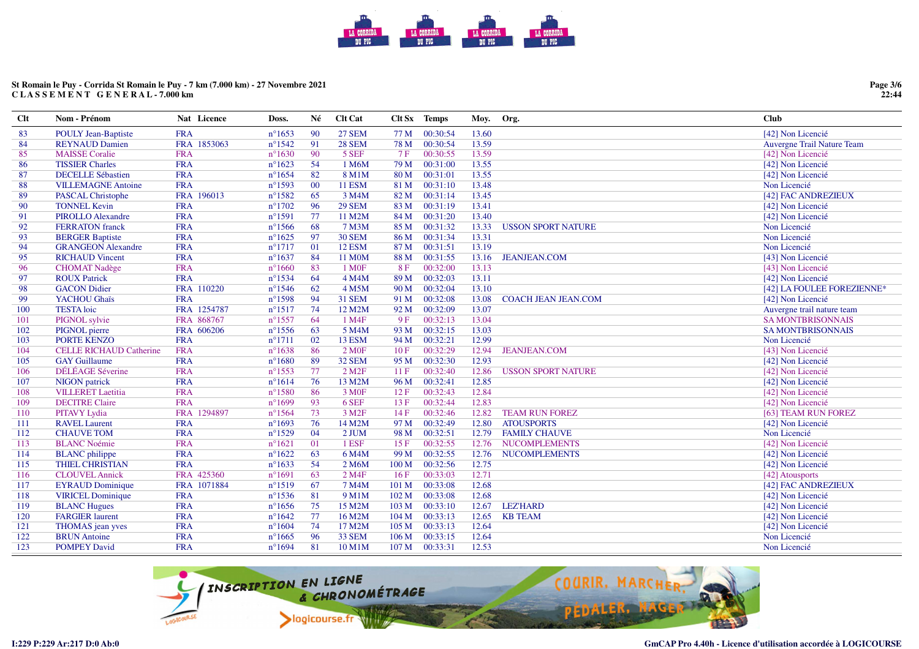# **St Romain le Puy - Corrida St Romain le Puy - 7 km (7.000 km) - 27 Novembre 2021C L A S S E M E N T G E N E R A L - 7.000 km**

| <b>Clt</b> | Nom - Prénom                   | Nat Licence | Doss.           | Né     | <b>Clt Cat</b>         |       | Clt Sx Temps | Moy.  | Org.                       | Club                       |
|------------|--------------------------------|-------------|-----------------|--------|------------------------|-------|--------------|-------|----------------------------|----------------------------|
| 83         | <b>POULY Jean-Baptiste</b>     | <b>FRA</b>  | $n^{\circ}1653$ | 90     | <b>27 SEM</b>          | 77 M  | 00:30:54     | 13.60 |                            | [42] Non Licencié          |
| 84         | <b>REYNAUD Damien</b>          | FRA 1853063 | $n^{\circ}1542$ | 91     | <b>28 SEM</b>          | 78 M  | 00:30:54     | 13.59 |                            | Auvergne Trail Nature Team |
| 85         | <b>MAISSE</b> Coralie          | <b>FRA</b>  | $n^{\circ}1630$ | 90     | 5 SEF                  | 7F    | 00:30:55     | 13.59 |                            | [42] Non Licencié          |
| 86         | <b>TISSIER Charles</b>         | <b>FRA</b>  | $n^{\circ}1623$ | 54     | 1 M6M                  | 79 M  | 00:31:00     | 13.55 |                            | [42] Non Licencié          |
| 87         | <b>DECELLE Sébastien</b>       | <b>FRA</b>  | $n^{\circ}1654$ | 82     | 8 M1M                  | 80 M  | 00:31:01     | 13.55 |                            | [42] Non Licencié          |
| 88         | <b>VILLEMAGNE Antoine</b>      | <b>FRA</b>  | $n^{\circ}1593$ | $00\,$ | <b>11 ESM</b>          | 81 M  | 00:31:10     | 13.48 |                            | Non Licencié               |
| 89         | <b>PASCAL Christophe</b>       | FRA 196013  | $n^{\circ}1582$ | 65     | 3 M4M                  | 82 M  | 00:31:14     | 13.45 |                            | [42] FAC ANDREZIEUX        |
| 90         | <b>TONNEL Kevin</b>            | <b>FRA</b>  | $n^{\circ}1702$ | 96     | <b>29 SEM</b>          | 83 M  | 00:31:19     | 13.41 |                            | [42] Non Licencié          |
| 91         | <b>PIROLLO Alexandre</b>       | <b>FRA</b>  | $n^{\circ}1591$ | 77     | 11 M2M                 | 84 M  | 00:31:20     | 13.40 |                            | [42] Non Licencié          |
| 92         | <b>FERRATON</b> franck         | <b>FRA</b>  | $n^{\circ}1566$ | 68     | 7 M3M                  | 85 M  | 00:31:32     | 13.33 | <b>USSON SPORT NATURE</b>  | Non Licencié               |
| 93         | <b>BERGER Baptiste</b>         | <b>FRA</b>  | $n^{\circ}1625$ | 97     | <b>30 SEM</b>          | 86 M  | 00:31:34     | 13.31 |                            | Non Licencié               |
| 94         | <b>GRANGEON Alexandre</b>      | <b>FRA</b>  | $n^{\circ}1717$ | 01     | 12 ESM                 | 87 M  | 00:31:51     | 13.19 |                            | Non Licencié               |
| 95         | <b>RICHAUD Vincent</b>         | <b>FRA</b>  | $n^{\circ}1637$ | 84     | 11 M0M                 | 88 M  | 00:31:55     | 13.16 | <b>JEANJEAN.COM</b>        | [43] Non Licencié          |
| 96         | <b>CHOMAT Nadège</b>           | <b>FRA</b>  | $n^{\circ}1660$ | 83     | 1 M <sub>OF</sub>      | 8F    | 00:32:00     | 13.13 |                            | [43] Non Licencié          |
| 97         | <b>ROUX Patrick</b>            | <b>FRA</b>  | $n^{\circ}1534$ | 64     | 4 M4M                  | 89 M  | 00:32:03     | 13.11 |                            | [42] Non Licencié          |
| 98         | <b>GACON Didier</b>            | FRA 110220  | $n^{\circ}1546$ | 62     | 4 M5M                  | 90 M  | 00:32:04     | 13.10 |                            | [42] LA FOULEE FOREZIENNE* |
| 99         | YACHOU Ghaïs                   | <b>FRA</b>  | $n^{\circ}1598$ | 94     | <b>31 SEM</b>          | 91 M  | 00:32:08     | 13.08 | <b>COACH JEAN JEAN.COM</b> | [42] Non Licencié          |
| 100        | <b>TESTA</b> loic              | FRA 1254787 | $n^{\circ}1517$ | 74     | 12 M2M                 | 92 M  | 00:32:09     | 13.07 |                            | Auvergne trail nature team |
| 101        | PIGNOL sylvie                  | FRA 868767  | $n^{\circ}1557$ | 64     | 1 M4F                  | 9F    | 00:32:13     | 13.04 |                            | <b>SA MONTBRISONNAIS</b>   |
| 102        | PIGNOL pierre                  | FRA 606206  | $n^{\circ}1556$ | 63     | 5 M4M                  | 93 M  | 00:32:15     | 13.03 |                            | <b>SA MONTBRISONNAIS</b>   |
| 103        | PORTE KENZO                    | <b>FRA</b>  | $n^{\circ}1711$ | 02     | 13 ESM                 | 94 M  | 00:32:21     | 12.99 |                            | Non Licencié               |
| 104        | <b>CELLE RICHAUD Catherine</b> | <b>FRA</b>  | $n^{\circ}1638$ | 86     | 2 M0F                  | 10F   | 00:32:29     | 12.94 | <b>JEANJEAN.COM</b>        | [43] Non Licencié          |
| 105        | <b>GAY Guillaume</b>           | <b>FRA</b>  | $n^{\circ}1680$ | 89     | 32 SEM                 | 95 M  | 00:32:30     | 12.93 |                            | [42] Non Licencié          |
| 106        | DÉLÉAGE Séverine               | <b>FRA</b>  | $n^{\circ}1553$ | 77     | $2$ M <sub>2</sub> $F$ | 11F   | 00:32:40     | 12.86 | <b>USSON SPORT NATURE</b>  | [42] Non Licencié          |
| 107        | NIGON patrick                  | <b>FRA</b>  | $n^{\circ}1614$ | 76     | 13 M2M                 | 96 M  | 00:32:41     | 12.85 |                            | [42] Non Licencié          |
| 108        | <b>VILLERET</b> Laetitia       | <b>FRA</b>  | $n^{\circ}1580$ | 86     | 3 M <sub>OF</sub>      | 12F   | 00:32:43     | 12.84 |                            | [42] Non Licencié          |
| 109        | <b>DECITRE Claire</b>          | <b>FRA</b>  | $n^{\circ}1699$ | 93     | 6 SEF                  | 13F   | 00:32:44     | 12.83 |                            | [42] Non Licencié          |
| 110        | <b>PITAVY Lydia</b>            | FRA 1294897 | $n^{\circ}1564$ | 73     | 3 M <sub>2F</sub>      | 14F   | 00:32:46     | 12.82 | <b>TEAM RUN FOREZ</b>      | [63] TEAM RUN FOREZ        |
| 111        | <b>RAVEL Laurent</b>           | <b>FRA</b>  | $n^{\circ}1693$ | 76     | 14 M2M                 | 97 M  | 00:32:49     | 12.80 | <b>ATOUSPORTS</b>          | [42] Non Licencié          |
| 112        | <b>CHAUVE TOM</b>              | <b>FRA</b>  | $n^{\circ}1529$ | 04     | 2 JUM                  | 98 M  | 00:32:51     | 12.79 | <b>FAMILY CHAUVE</b>       | Non Licencié               |
| 113        | <b>BLANC Noémie</b>            | <b>FRA</b>  | $n^{\circ}1621$ | 01     | 1 ESF                  | 15F   | 00:32:55     | 12.76 | <b>NUCOMPLEMENTS</b>       | [42] Non Licencié          |
| 114        | <b>BLANC</b> philippe          | <b>FRA</b>  | $n^{\circ}1622$ | 63     | 6 M4M                  | 99 M  | 00:32:55     | 12.76 | <b>NUCOMPLEMENTS</b>       | [42] Non Licencié          |
| 115        | <b>THIEL CHRISTIAN</b>         | <b>FRA</b>  | $n^{\circ}1633$ | 54     | 2 M6M                  | 100 M | 00:32:56     | 12.75 |                            | [42] Non Licencié          |
| 116        | <b>CLOUVEL Annick</b>          | FRA 425360  | $n^{\circ}1691$ | 63     | 2 M <sub>4F</sub>      | 16F   | 00:33:03     | 12.71 |                            | [42] Atousports            |
| 117        | <b>EYRAUD Dominique</b>        | FRA 1071884 | $n^{\circ}1519$ | 67     | 7 M4M                  | 101 M | 00:33:08     | 12.68 |                            | [42] FAC ANDREZIEUX        |
| 118        | <b>VIRICEL Dominique</b>       | <b>FRA</b>  | $n^{\circ}1536$ | 81     | 9 M1M                  | 102 M | 00:33:08     | 12.68 |                            | [42] Non Licencié          |
| 119        | <b>BLANC Hugues</b>            | <b>FRA</b>  | $n^{\circ}1656$ | 75     | 15 M2M                 | 103 M | 00:33:10     | 12.67 | <b>LEZ'HARD</b>            | [42] Non Licencié          |
| 120        | <b>FARGIER</b> laurent         | <b>FRA</b>  | $n^{\circ}1642$ | 77     | 16 M2M                 | 104 M | 00:33:13     | 12.65 | <b>KB TEAM</b>             | [42] Non Licencié          |
| 121        | THOMAS jean yves               | <b>FRA</b>  | $n^{\circ}1604$ | 74     | 17 M2M                 | 105 M | 00:33:13     | 12.64 |                            | [42] Non Licencié          |
| 122        | <b>BRUN</b> Antoine            | <b>FRA</b>  | $n^{\circ}1665$ | 96     | <b>33 SEM</b>          | 106 M | 00:33:15     | 12.64 |                            | Non Licencié               |
| 123        | <b>POMPEY David</b>            | <b>FRA</b>  | $n^{\circ}1694$ | 81     | 10 M1M                 | 107 M | 00:33:31     | 12.53 |                            | Non Licencié               |



**Page 3/6 22:44**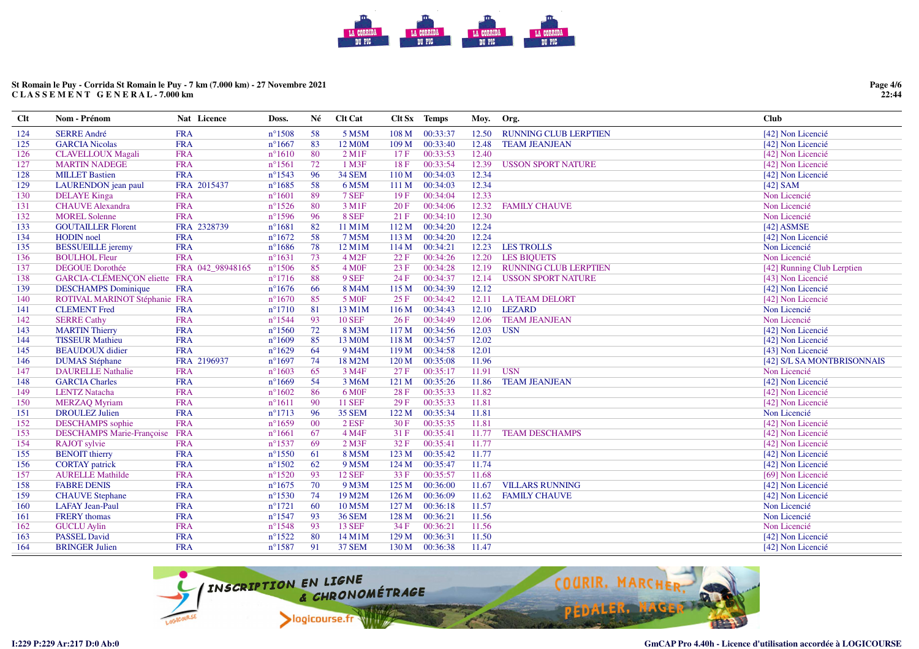# **St Romain le Puy - Corrida St Romain le Puy - 7 km (7.000 km) - 27 Novembre 2021C L A S S E M E N T G E N E R A L - 7.000 km**

**Page 4/6 22:44**

| $Cl$ t | Nom - Prénom                     | Nat Licence      | Doss.            | Né | <b>Clt Cat</b>         |                  | Clt Sx Temps | Moy.  | Org.                         | <b>Club</b>                |
|--------|----------------------------------|------------------|------------------|----|------------------------|------------------|--------------|-------|------------------------------|----------------------------|
| 124    | <b>SERRE André</b>               | <b>FRA</b>       | $n^{\circ}1508$  | 58 | 5 M5M                  | 108 M            | 00:33:37     | 12.50 | <b>RUNNING CLUB LERPTIEN</b> | [42] Non Licencié          |
| 125    | <b>GARCIA Nicolas</b>            | <b>FRA</b>       | $n^{\circ}1667$  | 83 | 12 M0M                 | 109 M            | 00:33:40     | 12.48 | <b>TEAM JEANJEAN</b>         | [42] Non Licencié          |
| 126    | <b>CLAVELLOUX Magali</b>         | <b>FRA</b>       | $n^{\circ}1610$  | 80 | $2$ M <sub>1</sub> $F$ | 17F              | 00:33:53     | 12.40 |                              | [42] Non Licencié          |
| 127    | <b>MARTIN NADEGE</b>             | <b>FRA</b>       | $n^{\circ}1561$  | 72 | 1 M3F                  | 18F              | 00:33:54     | 12.39 | <b>USSON SPORT NATURE</b>    | [42] Non Licencié          |
| 128    | <b>MILLET Bastien</b>            | <b>FRA</b>       | $n^{\circ}1543$  | 96 | <b>34 SEM</b>          | 110 M            | 00:34:03     | 12.34 |                              | [42] Non Licencié          |
| 129    | LAURENDON jean paul              | FRA 2015437      | $n^{\circ}1685$  | 58 | 6 M5M                  | 111 M            | 00:34:03     | 12.34 |                              | $[42]$ SAM                 |
| 130    | <b>DELAYE</b> Kinga              | <b>FRA</b>       | $n^{\circ}1601$  | 89 | 7 SEF                  | 19F              | 00:34:04     | 12.33 |                              | Non Licencié               |
| 131    | <b>CHAUVE</b> Alexandra          | <b>FRA</b>       | $n^{\circ}1526$  | 80 | 3 M1F                  | 20F              | 00:34:06     | 12.32 | <b>FAMILY CHAUVE</b>         | Non Licencié               |
| 132    | <b>MOREL Solenne</b>             | <b>FRA</b>       | $n^{\circ}1596$  | 96 | 8 SEF                  | 21 F             | 00:34:10     | 12.30 |                              | Non Licencié               |
| 133    | <b>GOUTAILLER Florent</b>        | FRA 2328739      | $n^{\circ}1681$  | 82 | 11 M1M                 | 112 M            | 00:34:20     | 12.24 |                              | $[42]$ ASMSE               |
| 134    | <b>HODIN</b> noel                | <b>FRA</b>       | $n^{\circ}1672$  | 58 | 7 M5M                  | 113 M            | 00:34:20     | 12.24 |                              | [42] Non Licencié          |
| 135    | <b>BESSUEILLE</b> jeremy         | <b>FRA</b>       | $n^{\circ}1686$  | 78 | 12 M1M                 | 114M             | 00:34:21     | 12.23 | <b>LES TROLLS</b>            | Non Licencié               |
| 136    | <b>BOULHOL Fleur</b>             | <b>FRA</b>       | $n^{\circ}1631$  | 73 | 4 M <sub>2F</sub>      | 22 F             | 00:34:26     | 12.20 | <b>LES BIQUETS</b>           | Non Licencié               |
| 137    | <b>DEGOUE Dorothée</b>           | FRA 042 98948165 | $n^{\circ}1506$  | 85 | 4 M0F                  | 23 F             | 00:34:28     | 12.19 | <b>RUNNING CLUB LERPTIEN</b> | [42] Running Club Lerptien |
| 138    | GARCIA-CLÉMENÇON eliette FRA     |                  | $n^{\circ}1716$  | 88 | 9 SEF                  | 24 F             | 00:34:37     | 12.14 | <b>USSON SPORT NATURE</b>    | [43] Non Licencié          |
| 139    | <b>DESCHAMPS</b> Dominique       | <b>FRA</b>       | $n^{\circ}1676$  | 66 | 8 M4M                  | 115 M            | 00:34:39     | 12.12 |                              | [42] Non Licencié          |
| 140    | ROTIVAL MARINOT Stéphanie FRA    |                  | $n^{\circ}1670$  | 85 | 5 M <sub>OF</sub>      | 25 F             | 00:34:42     | 12.11 | <b>LATEAM DELORT</b>         | [42] Non Licencié          |
| 141    | <b>CLEMENT</b> Fred              | <b>FRA</b>       | $n^{\circ}1710$  | 81 | 13 M1M                 | 116M             | 00:34:43     |       | 12.10 LEZARD                 | Non Licencié               |
| 142    | <b>SERRE Cathy</b>               | <b>FRA</b>       | $n^{\circ}1544$  | 93 | <b>10 SEF</b>          | 26F              | 00:34:49     | 12.06 | <b>TEAM JEANJEAN</b>         | Non Licencié               |
| 143    | <b>MARTIN Thierry</b>            | <b>FRA</b>       | $n^{\circ}1560$  | 72 | 8 M3M                  | 117 M            | 00:34:56     | 12.03 | <b>USN</b>                   | [42] Non Licencié          |
| 144    | <b>TISSEUR Mathieu</b>           | <b>FRA</b>       | $n^{\circ}1609$  | 85 | 13 M0M                 | 118 M            | 00:34:57     | 12.02 |                              | [42] Non Licencié          |
| 145    | <b>BEAUDOUX</b> didier           | <b>FRA</b>       | $n^{\circ}1629$  | 64 | 9 M <sub>4</sub> M     | 119M             | 00:34:58     | 12.01 |                              | [43] Non Licencié          |
| 146    | <b>DUMAS</b> Stéphane            | FRA 2196937      | $n^{\circ}1697$  | 74 | 18 M2M                 | 120 <sub>M</sub> | 00:35:08     | 11.96 |                              | [42] S/L SA MONTBRISONNAIS |
| 147    | <b>DAURELLE Nathalie</b>         | <b>FRA</b>       | $n^{\circ}1603$  | 65 | 3 M4F                  | 27 F             | 00:35:17     | 11.91 | <b>USN</b>                   | Non Licencié               |
| 148    | <b>GARCIA Charles</b>            | <b>FRA</b>       | $n^{\circ}1669$  | 54 | 3 M6M                  | 121 M            | 00:35:26     | 11.86 | <b>TEAM JEANJEAN</b>         | [42] Non Licencié          |
| 149    | <b>LENTZ Natacha</b>             | <b>FRA</b>       | $n^{\circ}1602$  | 86 | 6 M <sub>OF</sub>      | 28 F             | 00:35:33     | 11.82 |                              | [42] Non Licencié          |
| 150    | <b>MERZAQ Myriam</b>             | <b>FRA</b>       | $n^{\circ}1611$  | 90 | <b>11 SEF</b>          | 29F              | 00:35:33     | 11.81 |                              | [42] Non Licencié          |
| 151    | <b>DROULEZ Julien</b>            | <b>FRA</b>       | $n^{\circ}1713$  | 96 | <b>35 SEM</b>          | 122 M            | 00:35:34     | 11.81 |                              | Non Licencié               |
| 152    | <b>DESCHAMPS</b> sophie          | <b>FRA</b>       | $n^{\circ}1659$  | 00 | $2$ ESF                | 30F              | 00:35:35     | 11.81 |                              | [42] Non Licencié          |
| 153    | <b>DESCHAMPS Marie-Françoise</b> | <b>FRA</b>       | $n^{\circ}1661$  | 67 | 4 M4F                  | 31 F             | 00:35:41     | 11.77 | <b>TEAM DESCHAMPS</b>        | [42] Non Licencié          |
| 154    | <b>RAJOT</b> sylvie              | <b>FRA</b>       | $n^{\circ}$ 1537 | 69 | $2$ M $3F$             | 32 F             | 00:35:41     | 11.77 |                              | [42] Non Licencié          |
| 155    | <b>BENOIT</b> thierry            | <b>FRA</b>       | $n^{\circ}$ 1550 | 61 | 8 M5M                  | 123 M            | 00:35:42     | 11.77 |                              | [42] Non Licencié          |
| 156    | <b>CORTAY</b> patrick            | <b>FRA</b>       | $n^{\circ}1502$  | 62 | 9 M <sub>5</sub> M     | 124 M            | 00:35:47     | 11.74 |                              | [42] Non Licencié          |
| 157    | <b>AURELLE Mathilde</b>          | <b>FRA</b>       | $n^{\circ}1520$  | 93 | <b>12 SEF</b>          | 33 F             | 00:35:57     | 11.68 |                              | [69] Non Licencié          |
| 158    | <b>FABRE DENIS</b>               | <b>FRA</b>       | $n^{\circ}1675$  | 70 | 9 M3M                  | 125 M            | 00:36:00     | 11.67 | <b>VILLARS RUNNING</b>       | [42] Non Licencié          |
| 159    | <b>CHAUVE</b> Stephane           | <b>FRA</b>       | $n^{\circ}$ 1530 | 74 | 19 M2M                 | 126M             | 00:36:09     | 11.62 | <b>FAMILY CHAUVE</b>         | [42] Non Licencié          |
| 160    | <b>LAFAY Jean-Paul</b>           | <b>FRA</b>       | $n^{\circ}1721$  | 60 | 10 M5M                 | 127 M            | 00:36:18     | 11.57 |                              | Non Licencié               |
| 161    | <b>FRERY</b> thomas              | <b>FRA</b>       | $n^{\circ}1547$  | 93 | <b>36 SEM</b>          | 128 M            | 00:36:21     | 11.56 |                              | Non Licencié               |
| 162    | <b>GUCLU Aylin</b>               | <b>FRA</b>       | $n^{\circ}1548$  | 93 | <b>13 SEF</b>          | 34 F             | 00:36:21     | 11.56 |                              | Non Licencié               |
| 163    | <b>PASSEL David</b>              | <b>FRA</b>       | $n^{\circ}1522$  | 80 | 14 M1M                 | 129 M            | 00:36:31     | 11.50 |                              | [42] Non Licencié          |
| 164    | <b>BRINGER Julien</b>            | <b>FRA</b>       | $n^{\circ}$ 1587 | 91 | <b>37 SEM</b>          | 130 M            | 00:36:38     | 11.47 |                              | [42] Non Licencié          |

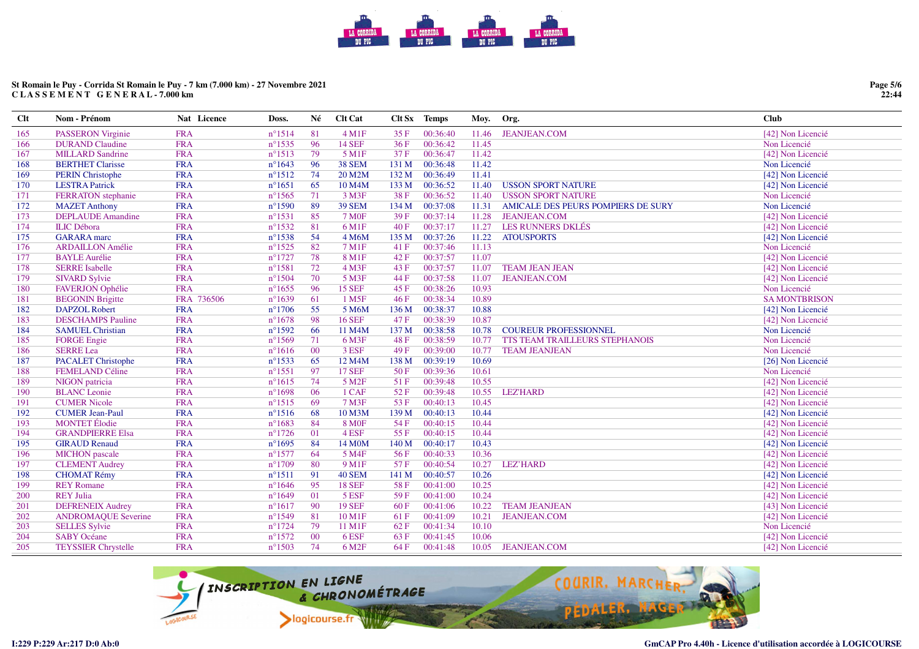# **St Romain le Puy - Corrida St Romain le Puy - 7 km (7.000 km) - 27 Novembre 2021C L A S S E M E N T G E N E R A L - 7.000 km**

| $Cl$ t | Nom - Prénom               | Nat Licence | Doss.            | Né | <b>Clt Cat</b>      |       | Clt Sx Temps | Moy.  | Org.                               | <b>Club</b>         |
|--------|----------------------------|-------------|------------------|----|---------------------|-------|--------------|-------|------------------------------------|---------------------|
| 165    | <b>PASSERON</b> Virginie   | <b>FRA</b>  | $n^{\circ}1514$  | 81 | $4 \text{ M1F}$     | 35 F  | 00:36:40     | 11.46 | <b>JEANJEAN.COM</b>                | [42] Non Licencié   |
| 166    | <b>DURAND Claudine</b>     | <b>FRA</b>  | $n^{\circ}$ 1535 | 96 | <b>14 SEF</b>       | 36F   | 00:36:42     | 11.45 |                                    | Non Licencié        |
| 167    | <b>MILLARD Sandrine</b>    | <b>FRA</b>  | $n^{\circ}1513$  | 79 | 5 M1F               | 37 F  | 00:36:47     | 11.42 |                                    | [42] Non Licencié   |
| 168    | <b>BERTHET Clarisse</b>    | <b>FRA</b>  | $n^{\circ}1643$  | 96 | <b>38 SEM</b>       | 131 M | 00:36:48     | 11.42 |                                    | Non Licencié        |
| 169    | <b>PERIN Christophe</b>    | <b>FRA</b>  | $n^{\circ}1512$  | 74 | 20 M2M              | 132 M | 00:36:49     | 11.41 |                                    | [42] Non Licencié   |
| 170    | <b>LESTRA Patrick</b>      | <b>FRA</b>  | $n^{\circ}1651$  | 65 | 10 M <sub>4</sub> M | 133 M | 00:36:52     | 11.40 | <b>USSON SPORT NATURE</b>          | [42] Non Licencié   |
| 171    | FERRATON stephanie         | <b>FRA</b>  | $n^{\circ}1565$  | 71 | $3$ M $3$ F         | 38 F  | 00:36:52     | 11.40 | <b>USSON SPORT NATURE</b>          | Non Licencié        |
| 172    | <b>MAZET</b> Anthony       | <b>FRA</b>  | $n^{\circ}1590$  | 89 | <b>39 SEM</b>       | 134 M | 00:37:08     | 11.31 | AMICALE DES PEURS POMPIERS DE SURY | Non Licencié        |
| 173    | <b>DEPLAUDE</b> Amandine   | <b>FRA</b>  | $n^{\circ}1531$  | 85 | <b>7 MOF</b>        | 39 F  | 00:37:14     | 11.28 | <b>JEANJEAN.COM</b>                | [42] Non Licencié   |
| 174    | <b>ILIC</b> Débora         | <b>FRA</b>  | $n^{\circ}1532$  | 81 | 6 M1F               | 40 F  | 00:37:17     | 11.27 | LES RUNNERS DKLÉS                  | [42] Non Licencié   |
| 175    | <b>GARARA</b> marc         | <b>FRA</b>  | $n^{\circ}1538$  | 54 | 4 M6M               | 135 M | 00:37:26     | 11.22 | <b>ATOUSPORTS</b>                  | [42] Non Licencié   |
| 176    | <b>ARDAILLON</b> Amélie    | <b>FRA</b>  | $n^{\circ}1525$  | 82 | 7 M1F               | 41 F  | 00:37:46     | 11.13 |                                    | Non Licencié        |
| 177    | <b>BAYLE Aurélie</b>       | <b>FRA</b>  | $n^{\circ}1727$  | 78 | 8 M1F               | 42F   | 00:37:57     | 11.07 |                                    | [42] Non Licencié   |
| 178    | <b>SERRE Isabelle</b>      | <b>FRA</b>  | $n^{\circ}1581$  | 72 | $4$ M3F             | 43 F  | 00:37:57     | 11.07 | <b>TEAM JEAN JEAN</b>              | [42] Non Licencié   |
| 179    | <b>SIVARD Sylvie</b>       | <b>FRA</b>  | $n^{\circ}1504$  | 70 | 5 M3F               | 44 F  | 00:37:58     | 11.07 | <b>JEANJEAN.COM</b>                | [42] Non Licencié   |
| 180    | <b>FAVERJON Ophélie</b>    | <b>FRA</b>  | $n^{\circ}1655$  | 96 | <b>15 SEF</b>       | 45 F  | 00:38:26     | 10.93 |                                    | Non Licencié        |
| 181    | <b>BEGONIN Brigitte</b>    | FRA 736506  | $n^{\circ}1639$  | 61 | 1 M5F               | 46F   | 00:38:34     | 10.89 |                                    | <b>SAMONTBRISON</b> |
| 182    | <b>DAPZOL Robert</b>       | <b>FRA</b>  | $n^{\circ}1706$  | 55 | 5 M6M               | 136 M | 00:38:37     | 10.88 |                                    | [42] Non Licencié   |
| 183    | <b>DESCHAMPS</b> Pauline   | <b>FRA</b>  | $n^{\circ}1678$  | 98 | <b>16 SEF</b>       | 47 F  | 00:38:39     | 10.87 |                                    | [42] Non Licencié   |
| 184    | <b>SAMUEL Christian</b>    | <b>FRA</b>  | $n^{\circ}1592$  | 66 | 11 M4M              | 137 M | 00:38:58     | 10.78 | <b>COUREUR PROFESSIONNEL</b>       | Non Licencié        |
| 185    | <b>FORGE</b> Engie         | <b>FRA</b>  | $n^{\circ}1569$  | 71 | 6 M3F               | 48 F  | 00:38:59     | 10.77 | TTS TEAM TRAILLEURS STEPHANOIS     | Non Licencié        |
| 186    | <b>SERRE</b> Lea           | <b>FRA</b>  | $n^{\circ}1616$  | 00 | 3 ESF               | 49F   | 00:39:00     | 10.77 | <b>TEAM JEANJEAN</b>               | Non Licencié        |
| 187    | <b>PACALET Christophe</b>  | <b>FRA</b>  | $n^{\circ}1533$  | 65 | 12 M4M              | 138 M | 00:39:19     | 10.69 |                                    | [26] Non Licencié   |
| 188    | <b>FEMELAND Céline</b>     | <b>FRA</b>  | $n^{\circ}1551$  | 97 | <b>17 SEF</b>       | 50F   | 00:39:36     | 10.61 |                                    | Non Licencié        |
| 189    | NIGON patricia             | <b>FRA</b>  | $n^{\circ}1615$  | 74 | 5 M <sub>2</sub> F  | 51F   | 00:39:48     | 10.55 |                                    | [42] Non Licencié   |
| 190    | <b>BLANC</b> Leonie        | <b>FRA</b>  | $n^{\circ}1698$  | 06 | 1 CAF               | 52 F  | 00:39:48     | 10.55 | <b>LEZ'HARD</b>                    | [42] Non Licencié   |
| 191    | <b>CUMER Nicole</b>        | <b>FRA</b>  | $n^{\circ}1515$  | 69 | 7 M3F               | 53F   | 00:40:13     | 10.45 |                                    | [42] Non Licencié   |
| 192    | <b>CUMER Jean-Paul</b>     | <b>FRA</b>  | $n^{\circ}1516$  | 68 | 10 M3M              | 139 M | 00:40:13     | 10.44 |                                    | [42] Non Licencié   |
| 193    | <b>MONTET</b> Élodie       | <b>FRA</b>  | $n^{\circ}1683$  | 84 | <b>8 MOF</b>        | 54 F  | 00:40:15     | 10.44 |                                    | [42] Non Licencié   |
| 194    | <b>GRANDPIERRE Elsa</b>    | <b>FRA</b>  | $n^{\circ}1726$  | 01 | 4 ESF               | 55 F  | 00:40:15     | 10.44 |                                    | [42] Non Licencié   |
| 195    | <b>GIRAUD Renaud</b>       | <b>FRA</b>  | $n^{\circ}1695$  | 84 | 14 M0M              | 140 M | 00:40:17     | 10.43 |                                    | [42] Non Licencié   |
| 196    | <b>MICHON</b> pascale      | <b>FRA</b>  | $n^{\circ}1577$  | 64 | 5 M4F               | 56 F  | 00:40:33     | 10.36 |                                    | [42] Non Licencié   |
| 197    | <b>CLEMENT Audrey</b>      | <b>FRA</b>  | $n^{\circ}1709$  | 80 | 9 M1F               | 57 F  | 00:40:54     | 10.27 | <b>LEZ'HARD</b>                    | [42] Non Licencié   |
| 198    | <b>CHOMAT Rémy</b>         | <b>FRA</b>  | $n^{\circ}1511$  | 91 | <b>40 SEM</b>       | 141 M | 00:40:57     | 10.26 |                                    | [42] Non Licencié   |
| 199    | <b>REY Romane</b>          | <b>FRA</b>  | $n^{\circ}1646$  | 95 | <b>18 SEF</b>       | 58F   | 00:41:00     | 10.25 |                                    | [42] Non Licencié   |
| 200    | <b>REY Julia</b>           | <b>FRA</b>  | $n^{\circ}1649$  | 01 | 5 ESF               | 59 F  | 00:41:00     | 10.24 |                                    | [42] Non Licencié   |
| 201    | <b>DEFRENEIX Audrey</b>    | <b>FRA</b>  | $n^{\circ}1617$  | 90 | <b>19 SEF</b>       | 60F   | 00:41:06     | 10.22 | <b>TEAM JEANJEAN</b>               | [43] Non Licencié   |
| 202    | <b>ANDROMAQUE Severine</b> | <b>FRA</b>  | $n^{\circ}1549$  | 81 | 10 M1F              | 61 F  | 00:41:09     | 10.21 | <b>JEANJEAN.COM</b>                | [42] Non Licencié   |
| 203    | <b>SELLES Sylvie</b>       | <b>FRA</b>  | $n^{\circ}1724$  | 79 | 11 M1F              | 62 F  | 00:41:34     | 10.10 |                                    | Non Licencié        |
| 204    | <b>SABY Océane</b>         | <b>FRA</b>  | $n^{\circ}1572$  | 00 | 6 ESF               | 63 F  | 00:41:45     | 10.06 |                                    | [42] Non Licencié   |
| 205    | <b>TEYSSIER Chrystelle</b> | <b>FRA</b>  | $n^{\circ}1503$  | 74 | 6 M <sub>2F</sub>   | 64 F  | 00:41:48     |       | 10.05 JEANJEAN.COM                 | [42] Non Licencié   |